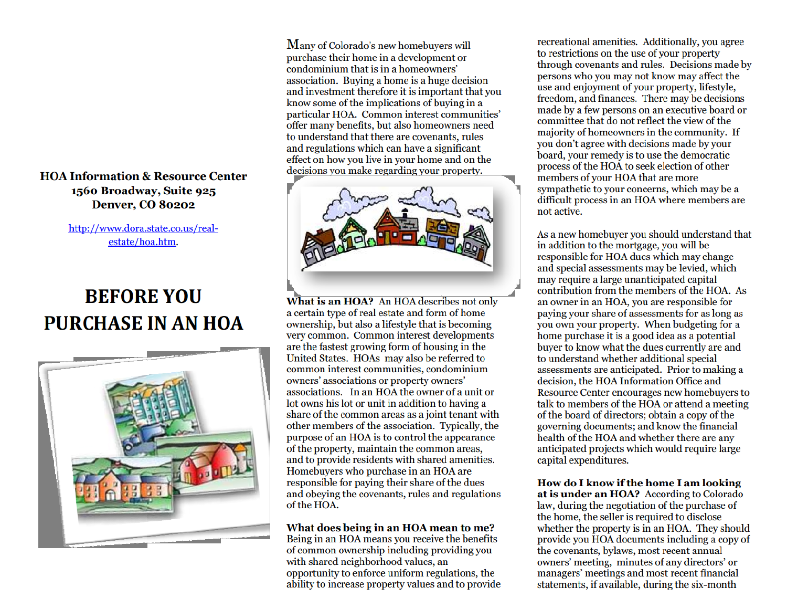## **HOA Information & Resource Center** 1560 Broadway, Suite 925 **Denver, CO 80202**

# http://www.dora.state.co.us/realestate/hoa.htm.

# **BEFORE YOU** PURCHASE IN AN HOA



Many of Colorado's new homebuyers will purchase their home in a development or condominium that is in a homeowners' association. Buving a home is a huge decision and investment therefore it is important that you know some of the implications of buying in a particular HOA. Common interest communities' offer many benefits, but also homeowners need to understand that there are covenants, rules and regulations which can have a significant effect on how you live in your home and on the decisions you make regarding your property.



What is an HOA? An HOA describes not only a certain type of real estate and form of home ownership, but also a lifestyle that is becoming very common. Common interest developments are the fastest growing form of housing in the United States. HOAs may also be referred to common interest communities, condominium owners' associations or property owners' associations. In an HOA the owner of a unit or lot owns his lot or unit in addition to having a share of the common areas as a joint tenant with other members of the association. Typically, the purpose of an HOA is to control the appearance of the property, maintain the common areas, and to provide residents with shared amenities. Homebuyers who purchase in an HOA are responsible for paying their share of the dues and obeying the covenants, rules and regulations of the HOA.

#### What does being in an HOA mean to me?

Being in an HOA means you receive the benefits of common ownership including providing you with shared neighborhood values, an opportunity to enforce uniform regulations, the ability to increase property values and to provide

recreational amenities. Additionally, you agree to restrictions on the use of your property through covenants and rules. Decisions made by persons who you may not know may affect the use and enjoyment of your property, lifestyle, freedom, and finances. There may be decisions made by a few persons on an executive board or committee that do not reflect the view of the majority of homeowners in the community. If you don't agree with decisions made by your board, your remedy is to use the democratic process of the HOA to seek election of other members of your HOA that are more sympathetic to your concerns, which may be a difficult process in an HOA where members are not active.

As a new homebuyer you should understand that in addition to the mortgage, you will be responsible for HOA dues which may change and special assessments may be levied, which may require a large unanticipated capital contribution from the members of the HOA. As an owner in an HOA, you are responsible for paying your share of assessments for as long as you own your property. When budgeting for a home purchase it is a good idea as a potential buyer to know what the dues currently are and to understand whether additional special assessments are anticipated. Prior to making a decision, the HOA Information Office and Resource Center encourages new homebuyers to talk to members of the HOA or attend a meeting of the board of directors; obtain a copy of the governing documents; and know the financial health of the HOA and whether there are any anticipated projects which would require large capital expenditures.

How do I know if the home I am looking at is under an HOA? According to Colorado law, during the negotiation of the purchase of the home, the seller is required to disclose whether the property is in an HOA. They should provide you HOA documents including a copy of the covenants, bylaws, most recent annual owners' meeting, minutes of any directors' or managers' meetings and most recent financial statements, if available, during the six-month